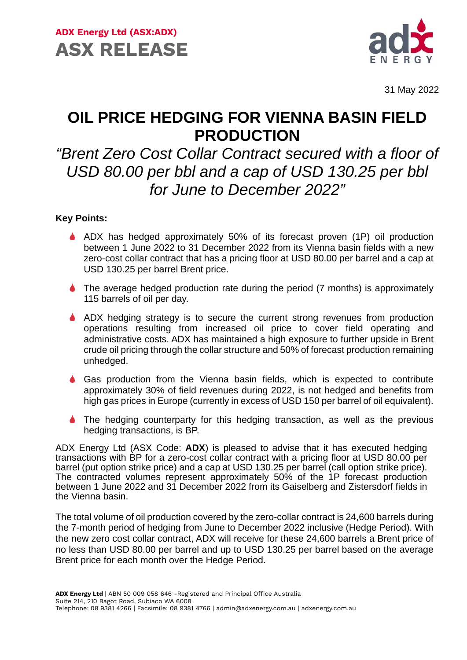

31 May 2022

## **OIL PRICE HEDGING FOR VIENNA BASIN FIELD PRODUCTION**

## *"Brent Zero Cost Collar Contract secured with a floor of USD 80.00 per bbl and a cap of USD 130.25 per bbl for June to December 2022"*

## **Key Points:**

- ADX has hedged approximately 50% of its forecast proven (1P) oil production between 1 June 2022 to 31 December 2022 from its Vienna basin fields with a new zero-cost collar contract that has a pricing floor at USD 80.00 per barrel and a cap at USD 130.25 per barrel Brent price.
- ◆ The average hedged production rate during the period (7 months) is approximately 115 barrels of oil per day.
- ADX hedging strategy is to secure the current strong revenues from production operations resulting from increased oil price to cover field operating and administrative costs. ADX has maintained a high exposure to further upside in Brent crude oil pricing through the collar structure and 50% of forecast production remaining unhedged.
- Gas production from the Vienna basin fields, which is expected to contribute approximately 30% of field revenues during 2022, is not hedged and benefits from high gas prices in Europe (currently in excess of USD 150 per barrel of oil equivalent).
- The hedging counterparty for this hedging transaction, as well as the previous hedging transactions, is BP.

ADX Energy Ltd (ASX Code: **ADX**) is pleased to advise that it has executed hedging transactions with BP for a zero-cost collar contract with a pricing floor at USD 80.00 per barrel (put option strike price) and a cap at USD 130.25 per barrel (call option strike price). The contracted volumes represent approximately 50% of the 1P forecast production between 1 June 2022 and 31 December 2022 from its Gaiselberg and Zistersdorf fields in the Vienna basin.

The total volume of oil production covered by the zero-collar contract is 24,600 barrels during the 7-month period of hedging from June to December 2022 inclusive (Hedge Period). With the new zero cost collar contract, ADX will receive for these 24,600 barrels a Brent price of no less than USD 80.00 per barrel and up to USD 130.25 per barrel based on the average Brent price for each month over the Hedge Period.